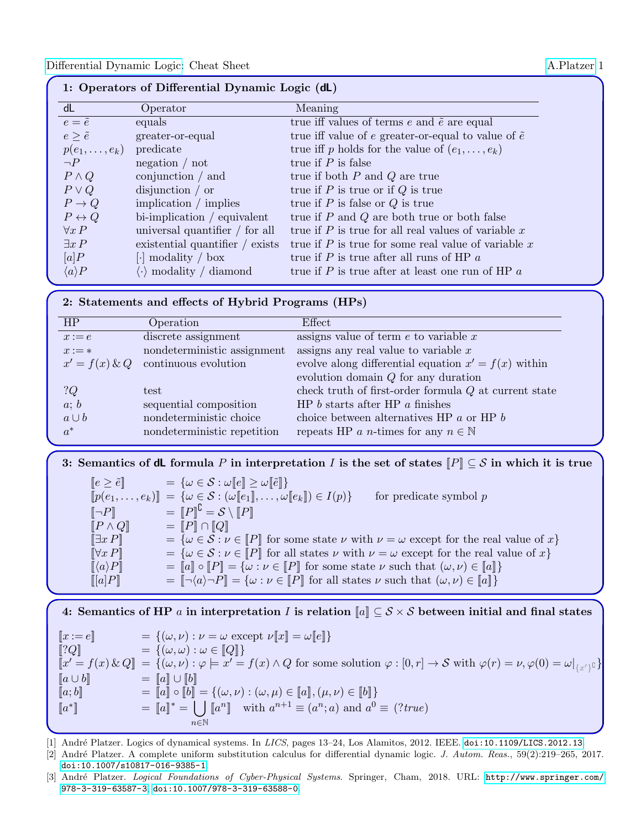| 1: Operators of Differential Dynamic Logic (dL) |                                                          |                                                              |  |  |  |
|-------------------------------------------------|----------------------------------------------------------|--------------------------------------------------------------|--|--|--|
| dL                                              | Operator                                                 | Meaning                                                      |  |  |  |
| $e = \tilde{e}$                                 | equals                                                   | true iff values of terms $e$ and $\tilde{e}$ are equal       |  |  |  |
| $e \geq \tilde{e}$                              | greater-or-equal                                         | true iff value of e greater-or-equal to value of $\tilde{e}$ |  |  |  |
| $p(e_1,\ldots,e_k)$                             | predicate                                                | true iff p holds for the value of $(e_1, \ldots, e_k)$       |  |  |  |
| $\neg P$                                        | negation / not                                           | true if $P$ is false                                         |  |  |  |
| $P \wedge Q$                                    | conjunction $/$ and                                      | true if both $P$ and $Q$ are true                            |  |  |  |
| $P \vee Q$                                      | disjunction / or                                         | true if $P$ is true or if $Q$ is true                        |  |  |  |
| $P \to Q$                                       | implication $\text{/ implies}$                           | true if $P$ is false or $Q$ is true                          |  |  |  |
| $P \leftrightarrow Q$                           | $bi$ -implication / equivalent                           | true if $P$ and $Q$ are both true or both false              |  |  |  |
| $\forall x P$                                   | universal quantifier / for all                           | true if $P$ is true for all real values of variable $x$      |  |  |  |
| $\exists x P$                                   | existential quantifier $\ell$ exists                     | true if $P$ is true for some real value of variable $x$      |  |  |  |
| [a]P                                            | $\lceil \cdot \rceil$ modality / box                     | true if $P$ is true after all runs of HP $a$                 |  |  |  |
| $\langle a \rangle P$                           | modality / diamond<br>$\left\lfloor \cdot \right\rfloor$ | true if P is true after at least one run of HP $\alpha$      |  |  |  |

#### 2: Statements and effects of Hybrid Programs (HPs)

| HP               | Operation                   | Effect                                                  |
|------------------|-----------------------------|---------------------------------------------------------|
| $x:=e$           | discrete assignment         | assigns value of term $e$ to variable $x$               |
| $x := *$         | nondeterministic assignment | assigns any real value to variable $x$                  |
| $x' = f(x) \& Q$ | continuous evolution        | evolve along differential equation $x' = f(x)$ within   |
|                  |                             | evolution domain $Q$ for any duration                   |
| ?Q               | test                        | check truth of first-order formula $Q$ at current state |
| a; b             | sequential composition      | HP $b$ starts after HP $a$ finishes                     |
| $a \cup b$       | nondeterministic choice     | choice between alternatives HP $a$ or HP $b$            |
| $a^*$            | nondeterministic repetition | repeats HP a n-times for any $n \in \mathbb{N}$         |
|                  |                             |                                                         |

3: Semantics of dL formula P in interpretation I is the set of states  $\llbracket P \rrbracket \subseteq S$  in which it is true

 $[e \geq \tilde{e}]$  =  $\{\omega \in \mathcal{S} : \omega[[e]] \geq \omega[[\tilde{e}]]\}$  $[[p(e_1, \ldots, e_k)]] = \{\omega \in \mathcal{S} : (\omega[[e_1]], \ldots, \omega[[e_k]]) \in I(p)\}$  for predicate symbol p  $\llbracket \neg P \rrbracket$  =  $\llbracket P \rrbracket^{\complement} = \mathcal{S} \setminus \llbracket P \rrbracket$  $[P \wedge Q]$  =  $[P] \cap [Q]$  $[\exists x P] = \{\omega \in \mathcal{S} : \nu \in [P] \text{ for some state } \nu \text{ with } \nu = \omega \text{ except for the real value of } x\}$  $[\forall x P]$  =  $\{\omega \in \mathcal{S} : \nu \in [P] \text{ for all states } \nu \text{ with } \nu = \omega \text{ except for the real value of } x\}$  $\llbracket \langle a \rangle P \rrbracket = \llbracket a \rrbracket \circ \llbracket P \rrbracket = \{ \omega : \nu \in \llbracket P \rrbracket \text{ for some state } \nu \text{ such that } (\omega, \nu) \in \llbracket a \rrbracket \}$  $[[a]P]$  =  $[\neg \langle a \rangle \neg P] = {\omega : \nu \in [P]}$  for all states  $\nu$  such that  $(\omega, \nu) \in [a]$ 

4: Semantics of HP a in interpretation I is relation  $\llbracket a \rrbracket \subseteq S \times S$  between initial and final states

 $[x := e]$  =  $\{(\omega, \nu) : \nu = \omega \text{ except } \nu[x] = \omega[[e]]\}$  $[?Q]$  =  $\{(\omega,\omega): \omega \in [Q]\}$  $\llbracket x' = f(x) \& Q \rrbracket = \{ (\omega, \nu) : \varphi \models x' = f(x) \land Q \text{ for some solution } \varphi : [0, r] \to S \text{ with } \varphi(r) = \nu, \varphi(0) = \omega \vert_{\{x'\}^{\complement}} \}$  $[a \cup b]$  =  $[a] \cup [b]$  $\llbracket a;b\rrbracket^*$  =  $\llbracket a\rrbracket \circ \llbracket b\rrbracket^* = \{(\omega,\nu): (\omega,\mu)\in \llbracket a\rrbracket, (\mu,\nu)\in \llbracket b\rrbracket\}$  $[a^*$  $\llbracket$  =  $[a]^{*} = \ulcorner \rrbracket$   $[a^{n}]$  with  $a^{n+1} \equiv (a^{n}; a)$  and  $a^{0} \equiv (?true)$ n∈N

[1] André Platzer. Logics of dynamical systems. In LICS, pages 13–24, Los Alamitos, 2012. IEEE. [doi:10.1109/LICS.2012.13](http://dx.doi.org/10.1109/LICS.2012.13).

[2] André Platzer. A complete uniform substitution calculus for differential dynamic logic. J. Autom. Reas., 59(2):219-265, 2017. [doi:10.1007/s10817-016-9385-1](http://dx.doi.org/10.1007/s10817-016-9385-1).

<sup>[3]</sup> André Platzer. Logical Foundations of Cyber-Physical Systems. Springer, Cham, 2018. URL: [http://www.springer.com/](http://www.springer.com/978-3-319-63587-3) [978-3-319-63587-3](http://www.springer.com/978-3-319-63587-3), [doi:10.1007/978-3-319-63588-0](http://dx.doi.org/10.1007/978-3-319-63588-0).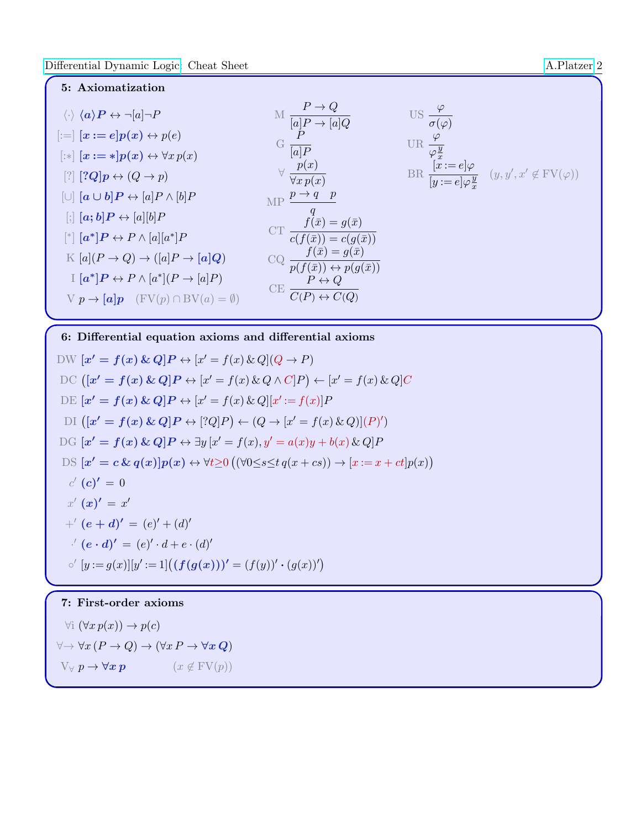

6: Differential equation axioms and differential axioms

DW 
$$
[x' = f(x) \& Q]P \leftrightarrow [x' = f(x) \& Q](Q \rightarrow P)
$$
  
\nDC 
$$
([x' = f(x) \& Q]P \leftrightarrow [x' = f(x) \& Q \land C]P) \leftarrow [x' = f(x) \& Q]C
$$
  
\nDE 
$$
[x' = f(x) \& Q]P \leftrightarrow [x' = f(x) \& Q][x' := f(x)]P
$$
  
\nDI 
$$
([x' = f(x) \& Q]P \leftrightarrow [?Q]P) \leftarrow (Q \rightarrow [x' = f(x) \& Q)](P)'
$$
  
\nDG 
$$
[x' = f(x) \& Q]P \leftrightarrow \exists y [x' = f(x), y' = a(x)y + b(x) \& Q]P
$$
  
\nDS 
$$
[x' = c \& q(x)]p(x) \leftrightarrow \forall t \ge 0 \left( (\forall 0 \le s \le t q(x + cs)) \rightarrow [x := x + ct]p(x) \right)
$$
  
\n*c'* 
$$
(c)' = 0
$$
  
\n*x'* 
$$
(x)' = x'
$$
  
\n+
$$
f'(e + d)' = (e)' + (d)'
$$
  
\n
$$
f'(g) = g(x)][y' := 1] \left( (f(g(x)))' = (f(y))' \cdot (g(x))' \right)
$$

### 7: First-order axioms

 $\forall i \ (\forall x \ p(x)) \rightarrow p(c)$  $\forall \rightarrow \forall x (P \rightarrow Q) \rightarrow (\forall x P \rightarrow \forall x Q)$  $V \forall p \rightarrow \forall x p$  ( $x \notin FV(p)$ )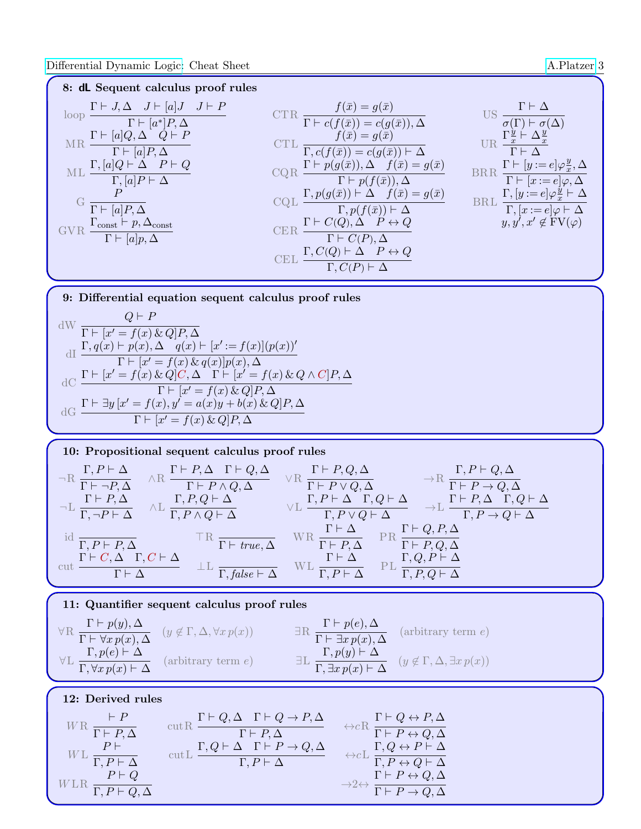8: dL Sequent calculus proof rules

| $\Gamma \vdash J, \Delta \quad J \vdash [a] J \quad J \vdash P$<br>loop<br>$\Gamma \vdash [a^*]P, \Delta$ | $f(\bar{x})=g(\bar{x})$<br>$\Gamma \vdash c(f(\bar{x})) = c(g(\bar{x})), \Delta$                                         | US                                                                                                      |
|-----------------------------------------------------------------------------------------------------------|--------------------------------------------------------------------------------------------------------------------------|---------------------------------------------------------------------------------------------------------|
| $[a]$ $Q, \Delta$<br>MR<br>$\Gamma \vdash [a]P, \Delta$                                                   | $f(\bar{x}) = g(\bar{x})$<br>$\Gamma, c(f(\bar{x})) = c(g(\bar{x})) \vdash \Delta$                                       | $\frac{\Gamma_x^y \vdash \Delta_x^y}{x}$<br>$\Gamma \vdash \Lambda$                                     |
| $P \vdash Q$<br>$\Gamma, [a]Q \vdash \Delta$<br>ML<br>$\Gamma, [a]P \vdash \Delta$                        | $\Gamma \vdash p(g(\bar{x})), \Delta \quad f(\bar{x}) = g(\bar{x})$<br>$\Gamma \vdash p(f(\bar{x})), \Delta$             | BRR $\frac{\Gamma \vdash [y := e] \varphi_x^y, \Delta}{\Gamma \vdash [x := e] \varphi, \Delta}$         |
| $\overline{P}$<br>$\Gamma \vdash [a]P, \Delta$                                                            | $\underline{\Gamma}, p(g(\bar{x})) \vdash \Delta \quad f(\bar{x}) = g(\bar{x})$<br>$\Gamma, p(f(\bar{x})) \vdash \Delta$ | $\Gamma, [y := e] \varphi \frac{y}{x} \vdash \Delta$<br>BRL<br>$\Gamma, [x := e] \varphi \vdash \Delta$ |
| $\Gamma_{\text{const}} \vdash p, \Delta_{\text{const}}$<br>GVR<br>$\Gamma \vdash [a]p, \Delta$            | $P \leftrightarrow Q$<br>$\rm CER$<br>$\Gamma \vdash C(P), \Delta$                                                       | $y, y', x' \notin FV(\varphi)$                                                                          |
|                                                                                                           | $P \leftrightarrow Q$<br>$\Gamma, C(P)$                                                                                  |                                                                                                         |

9: Differential equation sequent calculus proof rules

$$
Q \vdash P
$$
  
\n
$$
dW \frac{Q \vdash P}{\Gamma \vdash [x' = f(x) \& Q]P, \Delta}
$$
  
\n
$$
dI \frac{\Gamma, q(x) \vdash p(x), \Delta \quad q(x) \vdash [x' := f(x)] (p(x))'}{\Gamma \vdash [x' = f(x) \& q(x)] p(x), \Delta}
$$
  
\n
$$
dC \frac{\Gamma \vdash [x' = f(x) \& Q]C, \Delta \quad \Gamma \vdash [x' = f(x) \& Q \land C]P, \Delta}{\Gamma \vdash [x' = f(x) \& Q]P, \Delta}
$$
  
\n
$$
dG \frac{\Gamma \vdash \exists y [x' = f(x), y' = a(x)y + b(x) \& Q]P, \Delta}{\Gamma \vdash [x' = f(x) \& Q]P, \Delta}
$$

10: Propositional sequent calculus proof rules  
\n
$$
\neg R \frac{\Gamma, P \vdash \Delta}{\Gamma \vdash \neg P, \Delta} \wedge R \frac{\Gamma \vdash P, \Delta \Gamma \vdash Q, \Delta}{\Gamma \vdash P \wedge Q, \Delta} \vee R \frac{\Gamma \vdash P, Q, \Delta}{\Gamma \vdash P \vee Q, \Delta} \rightarrow R \frac{\Gamma, P \vdash Q, \Delta}{\Gamma \vdash P \to Q, \Delta}
$$
\n
$$
\neg L \frac{\Gamma \vdash P, \Delta}{\Gamma, \neg P \vdash \Delta} \wedge L \frac{\Gamma, P, Q \vdash \Delta}{\Gamma, P \wedge Q \vdash \Delta} \vee L \frac{\Gamma, P \vdash \Delta \Gamma, Q \vdash \Delta}{\Gamma, P \vee Q \vdash \Delta} \rightarrow L \frac{\Gamma \vdash P, \Delta \Gamma, Q \vdash \Delta}{\Gamma, P \to Q \vdash \Delta}
$$
\n
$$
\frac{\Gamma \vdash \Delta}{\Gamma, P \vdash P, \Delta} \frac{\Gamma \vdash Q, P, \Delta}{\Gamma \vdash W \vdash R} \frac{\Gamma \vdash \Delta}{\Gamma \vdash W \vdash R} \frac{\Gamma \vdash \Delta}{\Gamma \vdash P, \Delta} \frac{\Gamma \vdash Q, P, \Delta}{\Gamma \vdash P, Q, \Delta}
$$
\n
$$
\frac{\Gamma \vdash \Delta}{\Gamma \vdash P, Q, \Delta} \frac{\Gamma \vdash Q, P \vdash \Delta}{\Gamma \vdash R} \frac{\Gamma \vdash Q, P \vdash \Delta}{\Gamma, R \vdash R}
$$

11: Quantifier sequent calculus proof rules

$$
\forall R \frac{\Gamma \vdash p(y), \Delta}{\Gamma \vdash \forall x \, p(x), \Delta} \quad (y \notin \Gamma, \Delta, \forall x \, p(x)) \qquad \exists R \frac{\Gamma \vdash p(e), \Delta}{\Gamma \vdash \exists x \, p(x), \Delta} \quad (\text{arbitrary term } e)
$$
\n
$$
\forall L \frac{\Gamma, p(e) \vdash \Delta}{\Gamma, \forall x \, p(x) \vdash \Delta} \quad (\text{arbitrary term } e) \qquad \exists L \frac{\Gamma, p(y) \vdash \Delta}{\Gamma, \exists x \, p(x) \vdash \Delta} \quad (y \notin \Gamma, \Delta, \exists x \, p(x))
$$

## 12: Derived rules

|                                         | $\Gamma \vdash Q, \Delta \quad \Gamma \vdash Q \to P, \Delta$ | $\Gamma \vdash Q \leftrightarrow P, \Delta$              |
|-----------------------------------------|---------------------------------------------------------------|----------------------------------------------------------|
| $\Gamma$ $\Gamma$ + $P$ , $\Delta$      | $\overline{\Gamma \vdash P, \Delta}$                          | $\Gamma \vdash P \leftrightarrow Q, \Delta$              |
|                                         | $\Gamma, Q \vdash \Delta \quad \Gamma \vdash P \to Q, \Delta$ | $\Gamma, Q \leftrightarrow P \vdash \Delta$              |
| WL $\overline{\Gamma,P\vdash\Delta}$    | $\Gamma, P \vdash \Delta$                                     | $\Gamma, P \leftrightarrow Q \vdash \Delta$              |
| $P \vdash Q$                            |                                                               | $\Gamma \vdash P \leftrightarrow Q, \Delta$              |
| $\overline{\Gamma, P \vdash Q, \Delta}$ |                                                               | $\overrightarrow{\Gamma \vdash P \rightarrow Q, \Delta}$ |